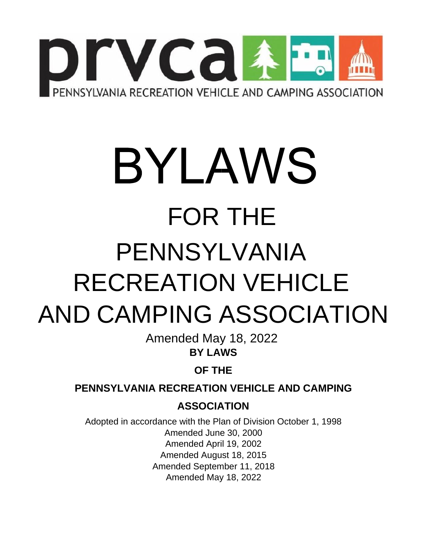

# BYLAWS FOR THE PENNSYLVANIA RECREATION VEHICLE AND CAMPING ASSOCIATION

Amended May 18, 2022 **BY LAWS** 

**OF THE** 

**PENNSYLVANIA RECREATION VEHICLE AND CAMPING** 

**ASSOCIATION** 

Adopted in accordance with the Plan of Division October 1, 1998 Amended June 30, 2000 Amended April 19, 2002 Amended August 18, 2015 Amended September 11, 2018 Amended May 18, 2022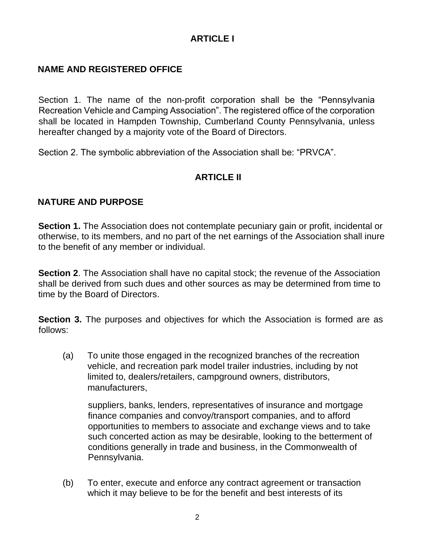# **ARTICLE I**

#### **NAME AND REGISTERED OFFICE**

Section 1. The name of the non-profit corporation shall be the "Pennsylvania Recreation Vehicle and Camping Association". The registered office of the corporation shall be located in Hampden Township, Cumberland County Pennsylvania, unless hereafter changed by a majority vote of the Board of Directors.

Section 2. The symbolic abbreviation of the Association shall be: "PRVCA".

#### **ARTICLE II**

#### **NATURE AND PURPOSE**

**Section 1.** The Association does not contemplate pecuniary gain or profit, incidental or otherwise, to its members, and no part of the net earnings of the Association shall inure to the benefit of any member or individual.

**Section 2**. The Association shall have no capital stock; the revenue of the Association shall be derived from such dues and other sources as may be determined from time to time by the Board of Directors.

**Section 3.** The purposes and objectives for which the Association is formed are as follows:

(a) To unite those engaged in the recognized branches of the recreation vehicle, and recreation park model trailer industries, including by not limited to, dealers/retailers, campground owners, distributors, manufacturers,

suppliers, banks, lenders, representatives of insurance and mortgage finance companies and convoy/transport companies, and to afford opportunities to members to associate and exchange views and to take such concerted action as may be desirable, looking to the betterment of conditions generally in trade and business, in the Commonwealth of Pennsylvania.

(b) To enter, execute and enforce any contract agreement or transaction which it may believe to be for the benefit and best interests of its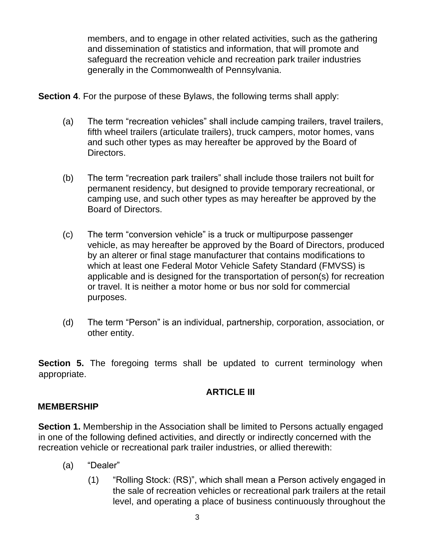members, and to engage in other related activities, such as the gathering and dissemination of statistics and information, that will promote and safeguard the recreation vehicle and recreation park trailer industries generally in the Commonwealth of Pennsylvania.

**Section 4.** For the purpose of these Bylaws, the following terms shall apply:

- (a) The term "recreation vehicles" shall include camping trailers, travel trailers, fifth wheel trailers (articulate trailers), truck campers, motor homes, vans and such other types as may hereafter be approved by the Board of Directors.
- (b) The term "recreation park trailers" shall include those trailers not built for permanent residency, but designed to provide temporary recreational, or camping use, and such other types as may hereafter be approved by the Board of Directors.
- (c) The term "conversion vehicle" is a truck or multipurpose passenger vehicle, as may hereafter be approved by the Board of Directors, produced by an alterer or final stage manufacturer that contains modifications to which at least one Federal Motor Vehicle Safety Standard (FMVSS) is applicable and is designed for the transportation of person(s) for recreation or travel. It is neither a motor home or bus nor sold for commercial purposes.
- (d) The term "Person" is an individual, partnership, corporation, association, or other entity.

**Section 5.** The foregoing terms shall be updated to current terminology when appropriate.

## **ARTICLE III**

#### **MEMBERSHIP**

**Section 1.** Membership in the Association shall be limited to Persons actually engaged in one of the following defined activities, and directly or indirectly concerned with the recreation vehicle or recreational park trailer industries, or allied therewith:

- (a) "Dealer"
	- (1) "Rolling Stock: (RS)", which shall mean a Person actively engaged in the sale of recreation vehicles or recreational park trailers at the retail level, and operating a place of business continuously throughout the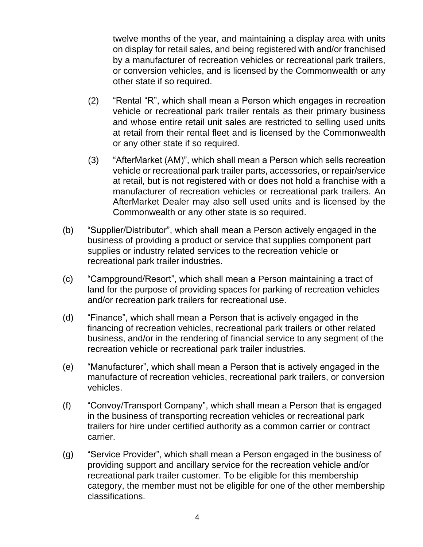twelve months of the year, and maintaining a display area with units on display for retail sales, and being registered with and/or franchised by a manufacturer of recreation vehicles or recreational park trailers, or conversion vehicles, and is licensed by the Commonwealth or any other state if so required.

- (2) "Rental "R", which shall mean a Person which engages in recreation vehicle or recreational park trailer rentals as their primary business and whose entire retail unit sales are restricted to selling used units at retail from their rental fleet and is licensed by the Commonwealth or any other state if so required.
- (3) "AfterMarket (AM)", which shall mean a Person which sells recreation vehicle or recreational park trailer parts, accessories, or repair/service at retail, but is not registered with or does not hold a franchise with a manufacturer of recreation vehicles or recreational park trailers. An AfterMarket Dealer may also sell used units and is licensed by the Commonwealth or any other state is so required.
- (b) "Supplier/Distributor", which shall mean a Person actively engaged in the business of providing a product or service that supplies component part supplies or industry related services to the recreation vehicle or recreational park trailer industries.
- (c) "Campground/Resort", which shall mean a Person maintaining a tract of land for the purpose of providing spaces for parking of recreation vehicles and/or recreation park trailers for recreational use.
- (d) "Finance", which shall mean a Person that is actively engaged in the financing of recreation vehicles, recreational park trailers or other related business, and/or in the rendering of financial service to any segment of the recreation vehicle or recreational park trailer industries.
- (e) "Manufacturer", which shall mean a Person that is actively engaged in the manufacture of recreation vehicles, recreational park trailers, or conversion vehicles.
- (f) "Convoy/Transport Company", which shall mean a Person that is engaged in the business of transporting recreation vehicles or recreational park trailers for hire under certified authority as a common carrier or contract carrier.
- (g) "Service Provider", which shall mean a Person engaged in the business of providing support and ancillary service for the recreation vehicle and/or recreational park trailer customer. To be eligible for this membership category, the member must not be eligible for one of the other membership classifications.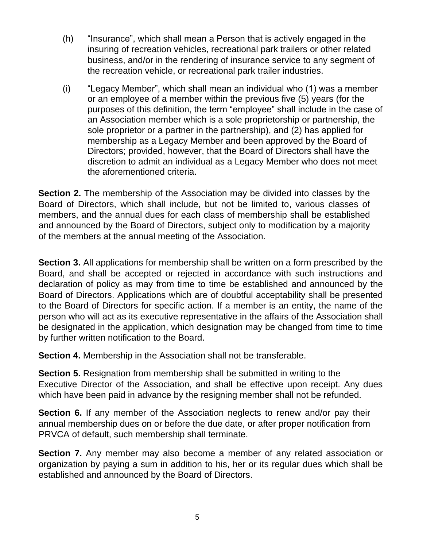- (h) "Insurance", which shall mean a Person that is actively engaged in the insuring of recreation vehicles, recreational park trailers or other related business, and/or in the rendering of insurance service to any segment of the recreation vehicle, or recreational park trailer industries.
- (i) "Legacy Member", which shall mean an individual who (1) was a member or an employee of a member within the previous five (5) years (for the purposes of this definition, the term "employee" shall include in the case of an Association member which is a sole proprietorship or partnership, the sole proprietor or a partner in the partnership), and (2) has applied for membership as a Legacy Member and been approved by the Board of Directors; provided, however, that the Board of Directors shall have the discretion to admit an individual as a Legacy Member who does not meet the aforementioned criteria.

**Section 2.** The membership of the Association may be divided into classes by the Board of Directors, which shall include, but not be limited to, various classes of members, and the annual dues for each class of membership shall be established and announced by the Board of Directors, subject only to modification by a majority of the members at the annual meeting of the Association.

**Section 3.** All applications for membership shall be written on a form prescribed by the Board, and shall be accepted or rejected in accordance with such instructions and declaration of policy as may from time to time be established and announced by the Board of Directors. Applications which are of doubtful acceptability shall be presented to the Board of Directors for specific action. If a member is an entity, the name of the person who will act as its executive representative in the affairs of the Association shall be designated in the application, which designation may be changed from time to time by further written notification to the Board.

**Section 4.** Membership in the Association shall not be transferable.

**Section 5.** Resignation from membership shall be submitted in writing to the Executive Director of the Association, and shall be effective upon receipt. Any dues which have been paid in advance by the resigning member shall not be refunded.

**Section 6.** If any member of the Association neglects to renew and/or pay their annual membership dues on or before the due date, or after proper notification from PRVCA of default, such membership shall terminate.

**Section 7.** Any member may also become a member of any related association or organization by paying a sum in addition to his, her or its regular dues which shall be established and announced by the Board of Directors.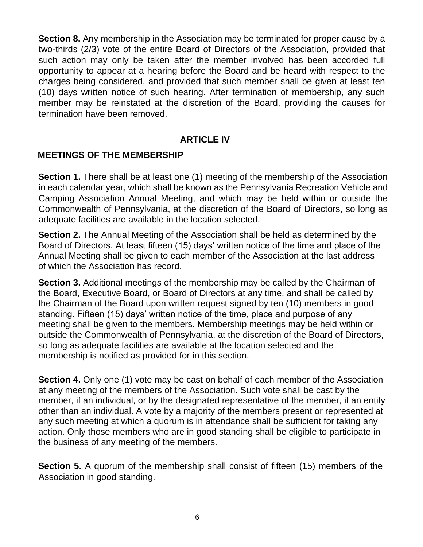**Section 8.** Any membership in the Association may be terminated for proper cause by a two-thirds (2/3) vote of the entire Board of Directors of the Association, provided that such action may only be taken after the member involved has been accorded full opportunity to appear at a hearing before the Board and be heard with respect to the charges being considered, and provided that such member shall be given at least ten (10) days written notice of such hearing. After termination of membership, any such member may be reinstated at the discretion of the Board, providing the causes for termination have been removed.

#### **ARTICLE IV**

#### **MEETINGS OF THE MEMBERSHIP**

**Section 1.** There shall be at least one (1) meeting of the membership of the Association in each calendar year, which shall be known as the Pennsylvania Recreation Vehicle and Camping Association Annual Meeting, and which may be held within or outside the Commonwealth of Pennsylvania, at the discretion of the Board of Directors, so long as adequate facilities are available in the location selected.

**Section 2.** The Annual Meeting of the Association shall be held as determined by the Board of Directors. At least fifteen (15) days' written notice of the time and place of the Annual Meeting shall be given to each member of the Association at the last address of which the Association has record.

**Section 3.** Additional meetings of the membership may be called by the Chairman of the Board, Executive Board, or Board of Directors at any time, and shall be called by the Chairman of the Board upon written request signed by ten (10) members in good standing. Fifteen (15) days' written notice of the time, place and purpose of any meeting shall be given to the members. Membership meetings may be held within or outside the Commonwealth of Pennsylvania, at the discretion of the Board of Directors, so long as adequate facilities are available at the location selected and the membership is notified as provided for in this section.

**Section 4.** Only one (1) vote may be cast on behalf of each member of the Association at any meeting of the members of the Association. Such vote shall be cast by the member, if an individual, or by the designated representative of the member, if an entity other than an individual. A vote by a majority of the members present or represented at any such meeting at which a quorum is in attendance shall be sufficient for taking any action. Only those members who are in good standing shall be eligible to participate in the business of any meeting of the members.

**Section 5.** A quorum of the membership shall consist of fifteen (15) members of the Association in good standing.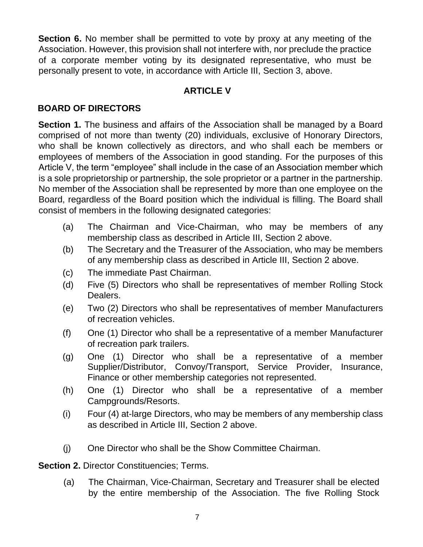**Section 6.** No member shall be permitted to vote by proxy at any meeting of the Association. However, this provision shall not interfere with, nor preclude the practice of a corporate member voting by its designated representative, who must be personally present to vote, in accordance with Article III, Section 3, above.

# **ARTICLE V**

# **BOARD OF DIRECTORS**

**Section 1.** The business and affairs of the Association shall be managed by a Board comprised of not more than twenty (20) individuals, exclusive of Honorary Directors, who shall be known collectively as directors, and who shall each be members or employees of members of the Association in good standing. For the purposes of this Article V, the term "employee" shall include in the case of an Association member which is a sole proprietorship or partnership, the sole proprietor or a partner in the partnership. No member of the Association shall be represented by more than one employee on the Board, regardless of the Board position which the individual is filling. The Board shall consist of members in the following designated categories:

- (a) The Chairman and Vice-Chairman, who may be members of any membership class as described in Article III, Section 2 above.
- (b) The Secretary and the Treasurer of the Association, who may be members of any membership class as described in Article III, Section 2 above.
- (c) The immediate Past Chairman.
- (d) Five (5) Directors who shall be representatives of member Rolling Stock Dealers.
- (e) Two (2) Directors who shall be representatives of member Manufacturers of recreation vehicles.
- (f) One (1) Director who shall be a representative of a member Manufacturer of recreation park trailers.
- (g) One (1) Director who shall be a representative of a member Supplier/Distributor, Convoy/Transport, Service Provider, Insurance, Finance or other membership categories not represented.
- (h) One (1) Director who shall be a representative of a member Campgrounds/Resorts.
- (i) Four (4) at-large Directors, who may be members of any membership class as described in Article III, Section 2 above.
- (j) One Director who shall be the Show Committee Chairman.

**Section 2. Director Constituencies; Terms.** 

(a) The Chairman, Vice-Chairman, Secretary and Treasurer shall be elected by the entire membership of the Association. The five Rolling Stock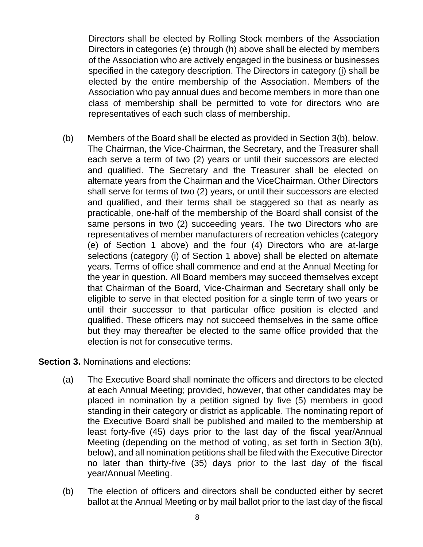Directors shall be elected by Rolling Stock members of the Association Directors in categories (e) through (h) above shall be elected by members of the Association who are actively engaged in the business or businesses specified in the category description. The Directors in category (i) shall be elected by the entire membership of the Association. Members of the Association who pay annual dues and become members in more than one class of membership shall be permitted to vote for directors who are representatives of each such class of membership.

(b) Members of the Board shall be elected as provided in Section 3(b), below. The Chairman, the Vice-Chairman, the Secretary, and the Treasurer shall each serve a term of two (2) years or until their successors are elected and qualified. The Secretary and the Treasurer shall be elected on alternate years from the Chairman and the ViceChairman. Other Directors shall serve for terms of two (2) years, or until their successors are elected and qualified, and their terms shall be staggered so that as nearly as practicable, one-half of the membership of the Board shall consist of the same persons in two (2) succeeding years. The two Directors who are representatives of member manufacturers of recreation vehicles (category (e) of Section 1 above) and the four (4) Directors who are at-large selections (category (i) of Section 1 above) shall be elected on alternate years. Terms of office shall commence and end at the Annual Meeting for the year in question. All Board members may succeed themselves except that Chairman of the Board, Vice-Chairman and Secretary shall only be eligible to serve in that elected position for a single term of two years or until their successor to that particular office position is elected and qualified. These officers may not succeed themselves in the same office but they may thereafter be elected to the same office provided that the election is not for consecutive terms.

**Section 3.** Nominations and elections:

- (a) The Executive Board shall nominate the officers and directors to be elected at each Annual Meeting; provided, however, that other candidates may be placed in nomination by a petition signed by five (5) members in good standing in their category or district as applicable. The nominating report of the Executive Board shall be published and mailed to the membership at least forty-five (45) days prior to the last day of the fiscal year/Annual Meeting (depending on the method of voting, as set forth in Section 3(b), below), and all nomination petitions shall be filed with the Executive Director no later than thirty-five (35) days prior to the last day of the fiscal year/Annual Meeting.
- (b) The election of officers and directors shall be conducted either by secret ballot at the Annual Meeting or by mail ballot prior to the last day of the fiscal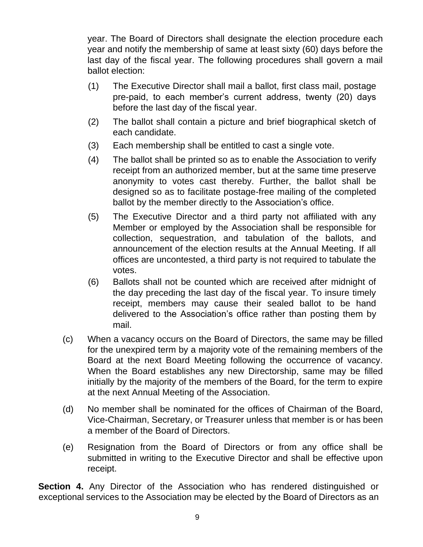year. The Board of Directors shall designate the election procedure each year and notify the membership of same at least sixty (60) days before the last day of the fiscal year. The following procedures shall govern a mail ballot election:

- (1) The Executive Director shall mail a ballot, first class mail, postage pre-paid, to each member's current address, twenty (20) days before the last day of the fiscal year.
- (2) The ballot shall contain a picture and brief biographical sketch of each candidate.
- (3) Each membership shall be entitled to cast a single vote.
- (4) The ballot shall be printed so as to enable the Association to verify receipt from an authorized member, but at the same time preserve anonymity to votes cast thereby. Further, the ballot shall be designed so as to facilitate postage-free mailing of the completed ballot by the member directly to the Association's office.
- (5) The Executive Director and a third party not affiliated with any Member or employed by the Association shall be responsible for collection, sequestration, and tabulation of the ballots, and announcement of the election results at the Annual Meeting. If all offices are uncontested, a third party is not required to tabulate the votes.
- (6) Ballots shall not be counted which are received after midnight of the day preceding the last day of the fiscal year. To insure timely receipt, members may cause their sealed ballot to be hand delivered to the Association's office rather than posting them by mail.
- (c) When a vacancy occurs on the Board of Directors, the same may be filled for the unexpired term by a majority vote of the remaining members of the Board at the next Board Meeting following the occurrence of vacancy. When the Board establishes any new Directorship, same may be filled initially by the majority of the members of the Board, for the term to expire at the next Annual Meeting of the Association.
- (d) No member shall be nominated for the offices of Chairman of the Board, Vice-Chairman, Secretary, or Treasurer unless that member is or has been a member of the Board of Directors.
- (e) Resignation from the Board of Directors or from any office shall be submitted in writing to the Executive Director and shall be effective upon receipt.

**Section 4.** Any Director of the Association who has rendered distinguished or exceptional services to the Association may be elected by the Board of Directors as an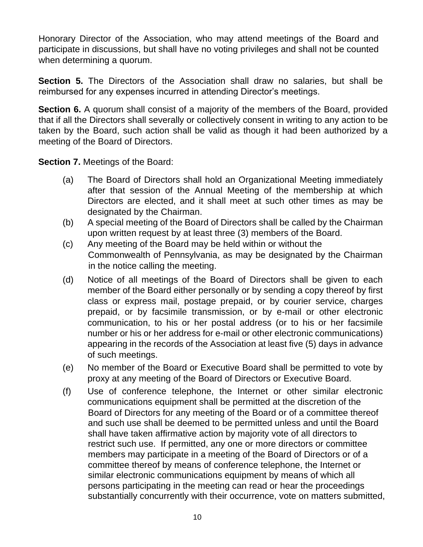Honorary Director of the Association, who may attend meetings of the Board and participate in discussions, but shall have no voting privileges and shall not be counted when determining a quorum.

**Section 5.** The Directors of the Association shall draw no salaries, but shall be reimbursed for any expenses incurred in attending Director's meetings.

**Section 6.** A quorum shall consist of a majority of the members of the Board, provided that if all the Directors shall severally or collectively consent in writing to any action to be taken by the Board, such action shall be valid as though it had been authorized by a meeting of the Board of Directors.

**Section 7. Meetings of the Board:** 

- (a) The Board of Directors shall hold an Organizational Meeting immediately after that session of the Annual Meeting of the membership at which Directors are elected, and it shall meet at such other times as may be designated by the Chairman.
- (b) A special meeting of the Board of Directors shall be called by the Chairman upon written request by at least three (3) members of the Board.
- (c) Any meeting of the Board may be held within or without the Commonwealth of Pennsylvania, as may be designated by the Chairman in the notice calling the meeting.
- (d) Notice of all meetings of the Board of Directors shall be given to each member of the Board either personally or by sending a copy thereof by first class or express mail, postage prepaid, or by courier service, charges prepaid, or by facsimile transmission, or by e-mail or other electronic communication, to his or her postal address (or to his or her facsimile number or his or her address for e-mail or other electronic communications) appearing in the records of the Association at least five (5) days in advance of such meetings.
- (e) No member of the Board or Executive Board shall be permitted to vote by proxy at any meeting of the Board of Directors or Executive Board.
- (f) Use of conference telephone, the Internet or other similar electronic communications equipment shall be permitted at the discretion of the Board of Directors for any meeting of the Board or of a committee thereof and such use shall be deemed to be permitted unless and until the Board shall have taken affirmative action by majority vote of all directors to restrict such use. If permitted, any one or more directors or committee members may participate in a meeting of the Board of Directors or of a committee thereof by means of conference telephone, the Internet or similar electronic communications equipment by means of which all persons participating in the meeting can read or hear the proceedings substantially concurrently with their occurrence, vote on matters submitted,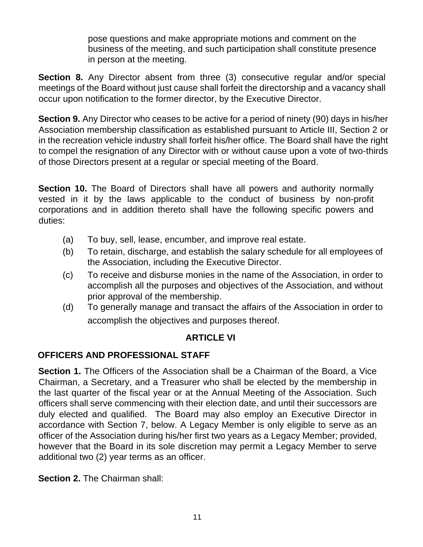pose questions and make appropriate motions and comment on the business of the meeting, and such participation shall constitute presence in person at the meeting.

**Section 8.** Any Director absent from three (3) consecutive regular and/or special meetings of the Board without just cause shall forfeit the directorship and a vacancy shall occur upon notification to the former director, by the Executive Director.

**Section 9.** Any Director who ceases to be active for a period of ninety (90) days in his/her Association membership classification as established pursuant to Article III, Section 2 or in the recreation vehicle industry shall forfeit his/her office. The Board shall have the right to compel the resignation of any Director with or without cause upon a vote of two-thirds of those Directors present at a regular or special meeting of the Board.

**Section 10.** The Board of Directors shall have all powers and authority normally vested in it by the laws applicable to the conduct of business by non-profit corporations and in addition thereto shall have the following specific powers and duties:

- (a) To buy, sell, lease, encumber, and improve real estate.
- (b) To retain, discharge, and establish the salary schedule for all employees of the Association, including the Executive Director.
- (c) To receive and disburse monies in the name of the Association, in order to accomplish all the purposes and objectives of the Association, and without prior approval of the membership.
- (d) To generally manage and transact the affairs of the Association in order to accomplish the objectives and purposes thereof.

## **ARTICLE VI**

## **OFFICERS AND PROFESSIONAL STAFF**

**Section 1.** The Officers of the Association shall be a Chairman of the Board, a Vice Chairman, a Secretary, and a Treasurer who shall be elected by the membership in the last quarter of the fiscal year or at the Annual Meeting of the Association. Such officers shall serve commencing with their election date, and until their successors are duly elected and qualified. The Board may also employ an Executive Director in accordance with Section 7, below. A Legacy Member is only eligible to serve as an officer of the Association during his/her first two years as a Legacy Member; provided, however that the Board in its sole discretion may permit a Legacy Member to serve additional two (2) year terms as an officer.

**Section 2.** The Chairman shall: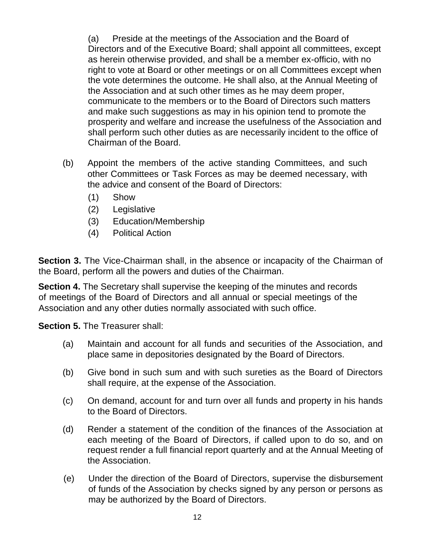(a) Preside at the meetings of the Association and the Board of Directors and of the Executive Board; shall appoint all committees, except as herein otherwise provided, and shall be a member ex-officio, with no right to vote at Board or other meetings or on all Committees except when the vote determines the outcome. He shall also, at the Annual Meeting of the Association and at such other times as he may deem proper, communicate to the members or to the Board of Directors such matters and make such suggestions as may in his opinion tend to promote the prosperity and welfare and increase the usefulness of the Association and shall perform such other duties as are necessarily incident to the office of Chairman of the Board.

- (b) Appoint the members of the active standing Committees, and such other Committees or Task Forces as may be deemed necessary, with the advice and consent of the Board of Directors:
	- (1) Show
	- (2) Legislative
	- (3) Education/Membership
	- (4) Political Action

**Section 3.** The Vice-Chairman shall, in the absence or incapacity of the Chairman of the Board, perform all the powers and duties of the Chairman.

**Section 4.** The Secretary shall supervise the keeping of the minutes and records of meetings of the Board of Directors and all annual or special meetings of the Association and any other duties normally associated with such office.

**Section 5.** The Treasurer shall:

- (a) Maintain and account for all funds and securities of the Association, and place same in depositories designated by the Board of Directors.
- (b) Give bond in such sum and with such sureties as the Board of Directors shall require, at the expense of the Association.
- (c) On demand, account for and turn over all funds and property in his hands to the Board of Directors.
- (d) Render a statement of the condition of the finances of the Association at each meeting of the Board of Directors, if called upon to do so, and on request render a full financial report quarterly and at the Annual Meeting of the Association.
- (e) Under the direction of the Board of Directors, supervise the disbursement of funds of the Association by checks signed by any person or persons as may be authorized by the Board of Directors.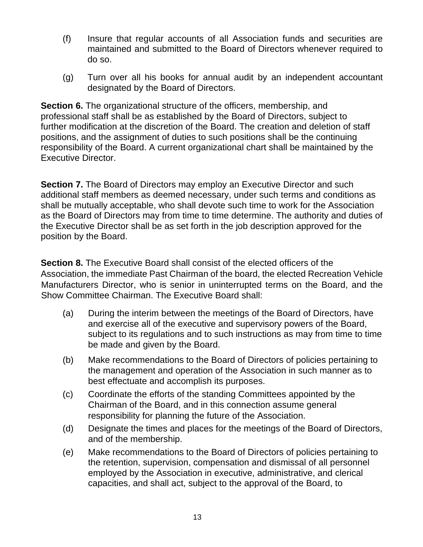- (f) Insure that regular accounts of all Association funds and securities are maintained and submitted to the Board of Directors whenever required to do so.
- (g) Turn over all his books for annual audit by an independent accountant designated by the Board of Directors.

**Section 6.** The organizational structure of the officers, membership, and professional staff shall be as established by the Board of Directors, subject to further modification at the discretion of the Board. The creation and deletion of staff positions, and the assignment of duties to such positions shall be the continuing responsibility of the Board. A current organizational chart shall be maintained by the Executive Director.

**Section 7.** The Board of Directors may employ an Executive Director and such additional staff members as deemed necessary, under such terms and conditions as shall be mutually acceptable, who shall devote such time to work for the Association as the Board of Directors may from time to time determine. The authority and duties of the Executive Director shall be as set forth in the job description approved for the position by the Board.

**Section 8.** The Executive Board shall consist of the elected officers of the Association, the immediate Past Chairman of the board, the elected Recreation Vehicle Manufacturers Director, who is senior in uninterrupted terms on the Board, and the Show Committee Chairman. The Executive Board shall:

- (a) During the interim between the meetings of the Board of Directors, have and exercise all of the executive and supervisory powers of the Board, subject to its regulations and to such instructions as may from time to time be made and given by the Board.
- (b) Make recommendations to the Board of Directors of policies pertaining to the management and operation of the Association in such manner as to best effectuate and accomplish its purposes.
- (c) Coordinate the efforts of the standing Committees appointed by the Chairman of the Board, and in this connection assume general responsibility for planning the future of the Association.
- (d) Designate the times and places for the meetings of the Board of Directors, and of the membership.
- (e) Make recommendations to the Board of Directors of policies pertaining to the retention, supervision, compensation and dismissal of all personnel employed by the Association in executive, administrative, and clerical capacities, and shall act, subject to the approval of the Board, to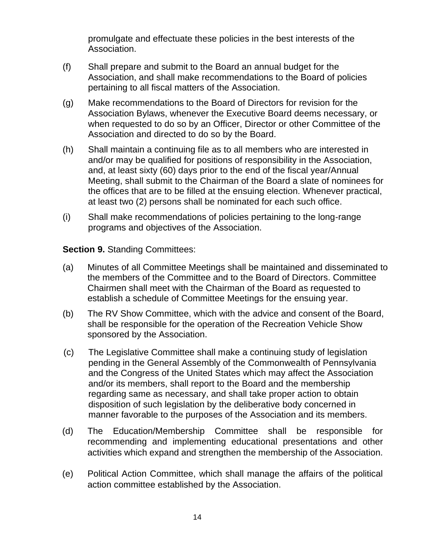promulgate and effectuate these policies in the best interests of the Association.

- (f) Shall prepare and submit to the Board an annual budget for the Association, and shall make recommendations to the Board of policies pertaining to all fiscal matters of the Association.
- (g) Make recommendations to the Board of Directors for revision for the Association Bylaws, whenever the Executive Board deems necessary, or when requested to do so by an Officer, Director or other Committee of the Association and directed to do so by the Board.
- (h) Shall maintain a continuing file as to all members who are interested in and/or may be qualified for positions of responsibility in the Association, and, at least sixty (60) days prior to the end of the fiscal year/Annual Meeting, shall submit to the Chairman of the Board a slate of nominees for the offices that are to be filled at the ensuing election. Whenever practical, at least two (2) persons shall be nominated for each such office.
- (i) Shall make recommendations of policies pertaining to the long-range programs and objectives of the Association.

**Section 9. Standing Committees:** 

- (a) Minutes of all Committee Meetings shall be maintained and disseminated to the members of the Committee and to the Board of Directors. Committee Chairmen shall meet with the Chairman of the Board as requested to establish a schedule of Committee Meetings for the ensuing year.
- (b) The RV Show Committee, which with the advice and consent of the Board, shall be responsible for the operation of the Recreation Vehicle Show sponsored by the Association.
- (c) The Legislative Committee shall make a continuing study of legislation pending in the General Assembly of the Commonwealth of Pennsylvania and the Congress of the United States which may affect the Association and/or its members, shall report to the Board and the membership regarding same as necessary, and shall take proper action to obtain disposition of such legislation by the deliberative body concerned in manner favorable to the purposes of the Association and its members.
- (d) The Education/Membership Committee shall be responsible for recommending and implementing educational presentations and other activities which expand and strengthen the membership of the Association.
- (e) Political Action Committee, which shall manage the affairs of the political action committee established by the Association.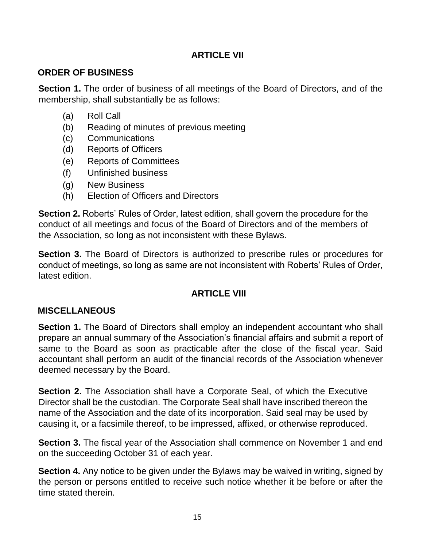#### **ARTICLE VII**

## **ORDER OF BUSINESS**

**Section 1.** The order of business of all meetings of the Board of Directors, and of the membership, shall substantially be as follows:

- (a) Roll Call
- (b) Reading of minutes of previous meeting
- (c) Communications
- (d) Reports of Officers
- (e) Reports of Committees
- (f) Unfinished business
- (g) New Business
- (h) Election of Officers and Directors

**Section 2.** Roberts' Rules of Order, latest edition, shall govern the procedure for the conduct of all meetings and focus of the Board of Directors and of the members of the Association, so long as not inconsistent with these Bylaws.

**Section 3.** The Board of Directors is authorized to prescribe rules or procedures for conduct of meetings, so long as same are not inconsistent with Roberts' Rules of Order, latest edition.

## **ARTICLE VIII**

## **MISCELLANEOUS**

**Section 1.** The Board of Directors shall employ an independent accountant who shall prepare an annual summary of the Association's financial affairs and submit a report of same to the Board as soon as practicable after the close of the fiscal year. Said accountant shall perform an audit of the financial records of the Association whenever deemed necessary by the Board.

**Section 2.** The Association shall have a Corporate Seal, of which the Executive Director shall be the custodian. The Corporate Seal shall have inscribed thereon the name of the Association and the date of its incorporation. Said seal may be used by causing it, or a facsimile thereof, to be impressed, affixed, or otherwise reproduced.

**Section 3.** The fiscal year of the Association shall commence on November 1 and end on the succeeding October 31 of each year.

**Section 4.** Any notice to be given under the Bylaws may be waived in writing, signed by the person or persons entitled to receive such notice whether it be before or after the time stated therein.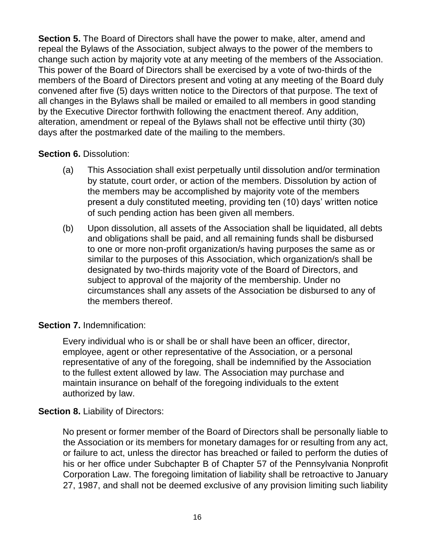**Section 5.** The Board of Directors shall have the power to make, alter, amend and repeal the Bylaws of the Association, subject always to the power of the members to change such action by majority vote at any meeting of the members of the Association. This power of the Board of Directors shall be exercised by a vote of two-thirds of the members of the Board of Directors present and voting at any meeting of the Board duly convened after five (5) days written notice to the Directors of that purpose. The text of all changes in the Bylaws shall be mailed or emailed to all members in good standing by the Executive Director forthwith following the enactment thereof. Any addition, alteration, amendment or repeal of the Bylaws shall not be effective until thirty (30) days after the postmarked date of the mailing to the members.

#### **Section 6.** Dissolution:

- (a) This Association shall exist perpetually until dissolution and/or termination by statute, court order, or action of the members. Dissolution by action of the members may be accomplished by majority vote of the members present a duly constituted meeting, providing ten (10) days' written notice of such pending action has been given all members.
- (b) Upon dissolution, all assets of the Association shall be liquidated, all debts and obligations shall be paid, and all remaining funds shall be disbursed to one or more non-profit organization/s having purposes the same as or similar to the purposes of this Association, which organization/s shall be designated by two-thirds majority vote of the Board of Directors, and subject to approval of the majority of the membership. Under no circumstances shall any assets of the Association be disbursed to any of the members thereof.

#### **Section 7.** Indemnification:

Every individual who is or shall be or shall have been an officer, director, employee, agent or other representative of the Association, or a personal representative of any of the foregoing, shall be indemnified by the Association to the fullest extent allowed by law. The Association may purchase and maintain insurance on behalf of the foregoing individuals to the extent authorized by law.

#### **Section 8. Liability of Directors:**

No present or former member of the Board of Directors shall be personally liable to the Association or its members for monetary damages for or resulting from any act, or failure to act, unless the director has breached or failed to perform the duties of his or her office under Subchapter B of Chapter 57 of the Pennsylvania Nonprofit Corporation Law. The foregoing limitation of liability shall be retroactive to January 27, 1987, and shall not be deemed exclusive of any provision limiting such liability